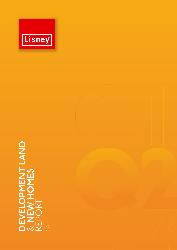

# **DEVELOPMENT LAND** & **NEW HOMES** DEVELOPMENT LAND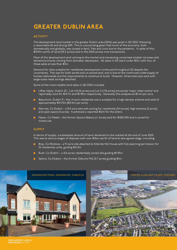# GREATER DUBLIN AREA

### **ACTIVITY**

The development land market in the greater Dublin area (GDA) was quiet in Q2 2020, following a reasonable Q1 and strong 2019. This is unsurprising given that much of the economy, both domestically and globally, was closed in April, May and June due to the pandemic. In spite of this, €13.9m worth of land (34.3 acres) sold in the GDA across nine transactions.

Most of the development land coming to the market and transacting comprised smaller lot sizes with demand primarily coming from domestic developers. All sales in Q2 were under €5m with four of these sales at less than €1m.

Demand for sites suitable for residential development continued throughout Q2 despite the uncertainty. This was for both zoned and un-zoned land, and is due to the continued undersupply of homes nationwide and the requirements to continue to build. However, three sites also sold with large-scale retail zonings attached.

Some of the most notable land sales in Q2 2020 included:

- Liffey Valley, Dublin 22 Lot I (4.24 acres) and Lot 2 (1.78 acres) are zoned 'major retail centre' and reportedly sold for €4.7m and €1.95m respectively. Generally this analyses at €1.1m per acre.
- Beaumont, Dublin 9 the I.4 acre residential site is suitable for a high density scheme and sold of approximately €4.75m (€3.4m per acre).
- Skerries, Co Dublin a 15.4 acre site with zoning for residential (5.4 acres), high amenity (5 acres) and open space (5 acres). It achieved a reported €2m for the entire.
- Navan, Co Meath the former Spicers Bakery (1.1 acres) sold for €850,000 and is zoned for mixed-use.

### **SUPPLY**

In terms of supply, a substantial amount of land remained on the market at the end of June 2020. This was at various stages of disposal with over €16m worth of land at sale agreed stage, including:

- Bray, Co Wicklow a 9.1 acre site attached to Kilbride Hill House with full planning permission for 32 residential units, guiding €4.5m.
- Rush, Co Dublin a 15.6 acres residentially zoned site guiding €1.95m.
- Sallins, Co Kildare the former Odlums Mill (3.7 acres) guiding €lm.





**DEVELOPMENT LAND & NEW HOMES** Q2 2020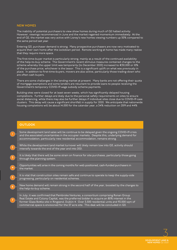### **NEW HOMES**

The inability of potential purchasers to view show homes during much of Q2 halted activity. However, viewings recommenced in June and the market regained momentum immediately. At the end of Q2, the market was very active with Lisney's new homes viewing numbers up 50% compared to the same period last year.

Entering Q3, purchaser demand is strong. Many prospective purchasers are now very motivated to acquire their own home after the lockdown period. Remote working at home has made many realise that they require more space.

The first-time-buyer market is particularly strong, mainly as a result of the continued availability of the help-to-buy scheme. The Government's recent stimulus measures contained changes to the scheme whereby the upper limit was temporarily (to December 2020) increased to €30,000 or 10% of the purchase price, whichever is the lessor. This is a significant uplift on what was previously in place. In addition to first-time-buyers, movers are also active, particularly those trading-down who are often cash buyers.

There are some challenges in the lending market at present. Many banks are not offering their quota of mortgage exemptions and some lenders are reluctant to provide loans to people receiving the Government's temporary COVID-19 wage subsidy scheme payments.

Building sites were closed for at least seven weeks, which has significantly delayed housing completions. Further delays are likely due to the personal safety requirements on sites to ensure social distancing, while there may also be further delays if individual sites close due to COVID-19 case clusters. This delay will cause a significant shortfall in supply for 2020. We anticipate that nationwide housing completions will be about 14,000 for the calendar year, a 34% reduction on 2019 and 44%

### **OUTLOOK**

**1**

**2**

**3**

**4**

**6**

**5**

**7**

Some development land sales will be continue to be delayed given the ongoing COVID-19 crisis and the associated uncertainties in the occupier markets. Despite this, underlying demand for accommodation, particularly new residential accommodation, remains strong.

While the development land market turnover will likely remain low into Q3, activity should intensify towards the end of the year and into 2021.

It is likely that there will be some strain on finance for site purchases, particularly those going through the planning system.

Opportunities will arise in the coming months for well-positioned, cash-funded purchasers in the market.

It is vital that construction sites remain safe and continue to operate to keep the supply-side progressing, particularly on residential schemes.

New home demand will remain strong in the second half of the year, boosted by the changes to the help-to-buy scheme.

In July, it was confirmed that Pembroke Ventures, a consortium comprising Ronan Group Real Estate and Colony Capital, was the preferred bidder to acquire an 80% interest in the former Glass Bottle site in Ringsend, Dublin 4. Over 3,500 residential units and 93,000 sqm of commercial space is envisioned for the 37 acre site. This deal will be concluded in Q3.